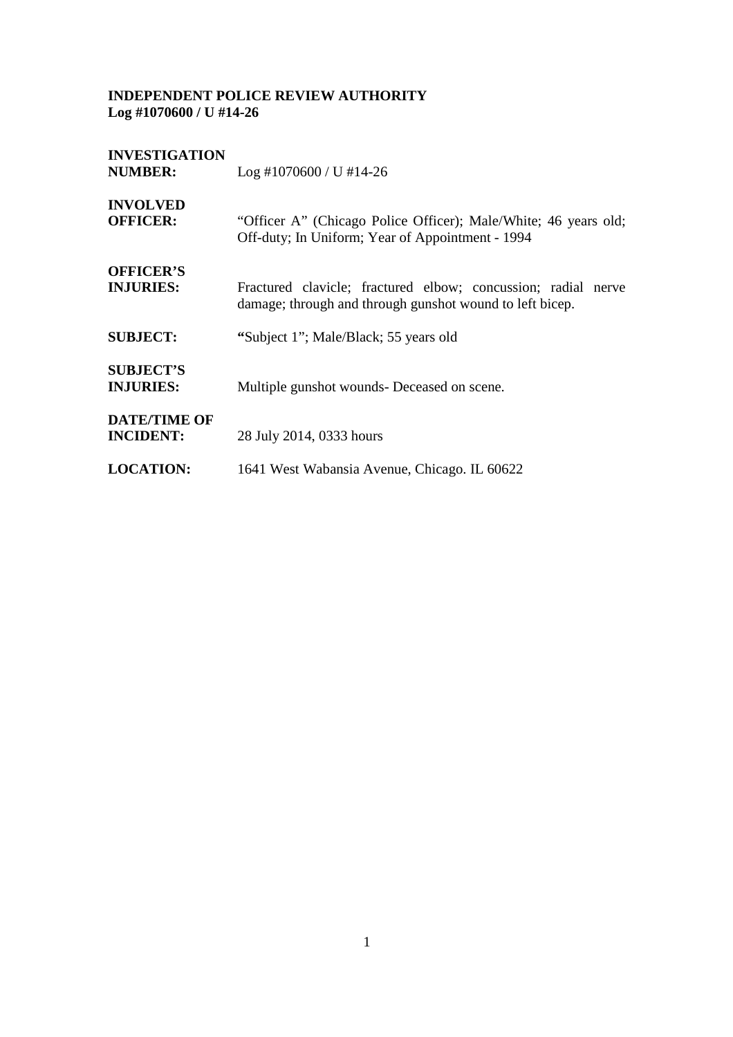| <b>INVESTIGATION</b><br><b>NUMBER:</b>  | $Log$ #1070600 / U #14-26                                                                                                 |
|-----------------------------------------|---------------------------------------------------------------------------------------------------------------------------|
| <b>INVOLVED</b><br><b>OFFICER:</b>      | "Officer A" (Chicago Police Officer); Male/White; 46 years old;<br>Off-duty; In Uniform; Year of Appointment - 1994       |
| <b>OFFICER'S</b><br><b>INJURIES:</b>    | Fractured clavicle; fractured elbow; concussion; radial nerve<br>damage; through and through gunshot wound to left bicep. |
| <b>SUBJECT:</b>                         | "Subject 1"; Male/Black; 55 years old                                                                                     |
| <b>SUBJECT'S</b><br><b>INJURIES:</b>    | Multiple gunshot wounds- Deceased on scene.                                                                               |
| <b>DATE/TIME OF</b><br><b>INCIDENT:</b> | 28 July 2014, 0333 hours                                                                                                  |
| <b>LOCATION:</b>                        | 1641 West Wabansia Avenue, Chicago. IL 60622                                                                              |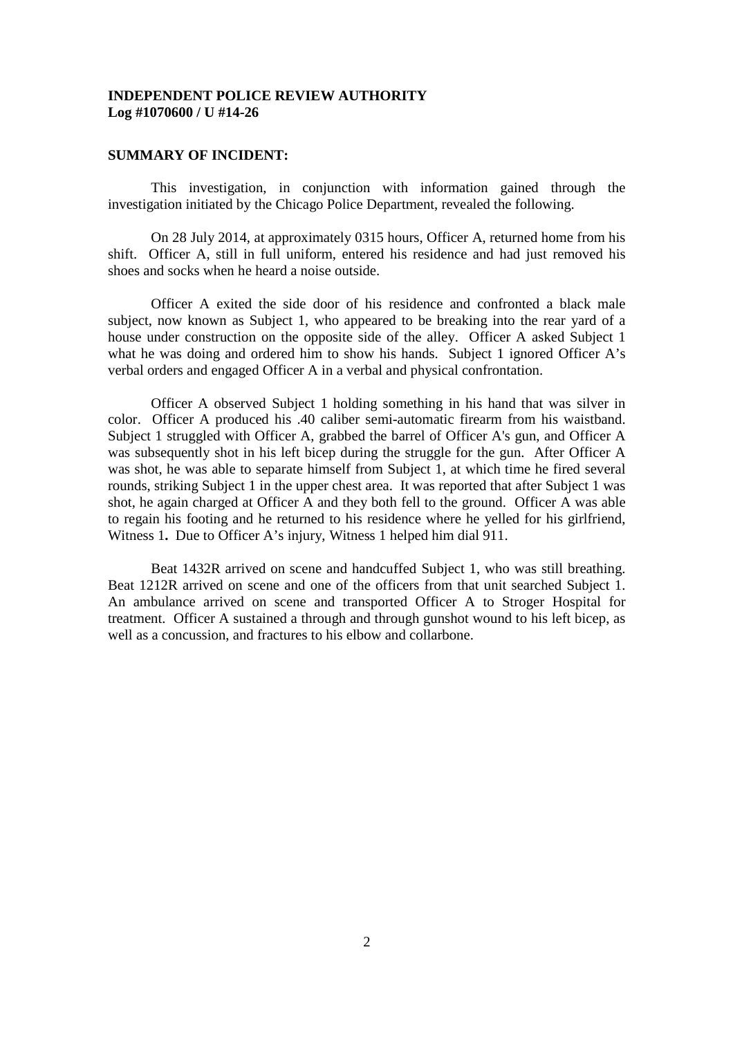#### **SUMMARY OF INCIDENT:**

This investigation, in conjunction with information gained through the investigation initiated by the Chicago Police Department, revealed the following.

On 28 July 2014, at approximately 0315 hours, Officer A, returned home from his shift. Officer A, still in full uniform, entered his residence and had just removed his shoes and socks when he heard a noise outside.

Officer A exited the side door of his residence and confronted a black male subject, now known as Subject 1, who appeared to be breaking into the rear yard of a house under construction on the opposite side of the alley. Officer A asked Subject 1 what he was doing and ordered him to show his hands. Subject 1 ignored Officer A's verbal orders and engaged Officer A in a verbal and physical confrontation.

Officer A observed Subject 1 holding something in his hand that was silver in color. Officer A produced his .40 caliber semi-automatic firearm from his waistband. Subject 1 struggled with Officer A, grabbed the barrel of Officer A's gun, and Officer A was subsequently shot in his left bicep during the struggle for the gun. After Officer A was shot, he was able to separate himself from Subject 1, at which time he fired several rounds, striking Subject 1 in the upper chest area. It was reported that after Subject 1 was shot, he again charged at Officer A and they both fell to the ground. Officer A was able to regain his footing and he returned to his residence where he yelled for his girlfriend, Witness 1**.** Due to Officer A's injury, Witness 1 helped him dial 911.

Beat 1432R arrived on scene and handcuffed Subject 1, who was still breathing. Beat 1212R arrived on scene and one of the officers from that unit searched Subject 1. An ambulance arrived on scene and transported Officer A to Stroger Hospital for treatment. Officer A sustained a through and through gunshot wound to his left bicep, as well as a concussion, and fractures to his elbow and collarbone.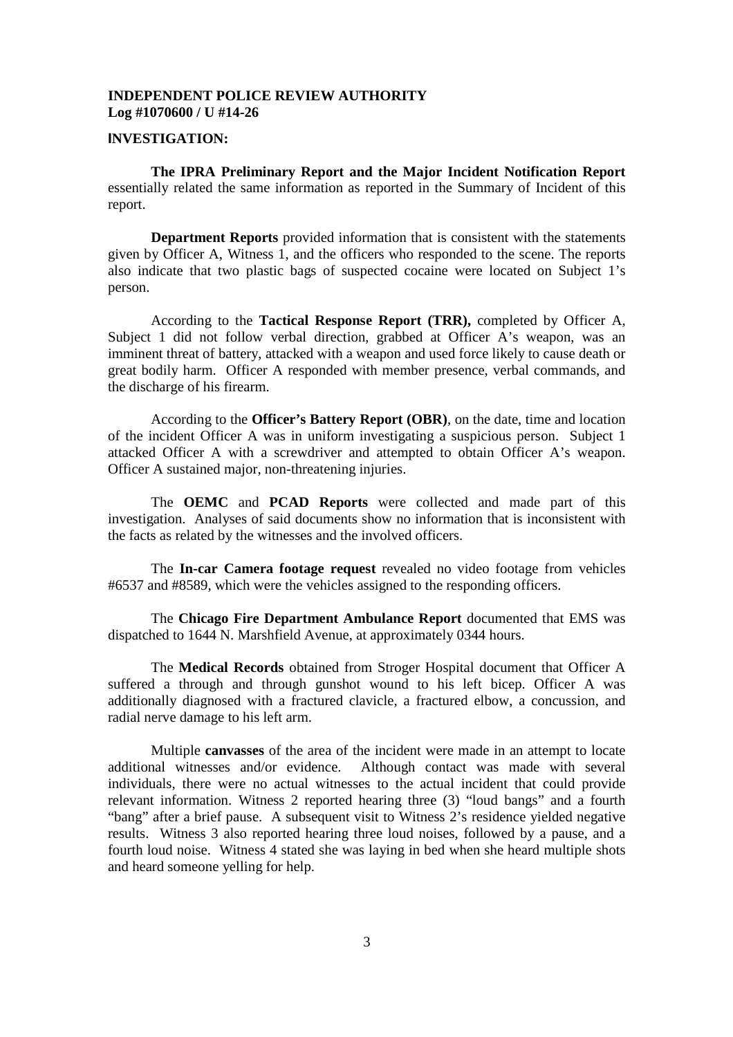#### **INVESTIGATION:**

**The IPRA Preliminary Report and the Major Incident Notification Report** essentially related the same information as reported in the Summary of Incident of this report.

**Department Reports** provided information that is consistent with the statements given by Officer A, Witness 1, and the officers who responded to the scene. The reports also indicate that two plastic bags of suspected cocaine were located on Subject 1's person.

According to the **Tactical Response Report (TRR),** completed by Officer A, Subject 1 did not follow verbal direction, grabbed at Officer A's weapon, was an imminent threat of battery, attacked with a weapon and used force likely to cause death or great bodily harm. Officer A responded with member presence, verbal commands, and the discharge of his firearm.

According to the **Officer's Battery Report (OBR)**, on the date, time and location of the incident Officer A was in uniform investigating a suspicious person. Subject 1 attacked Officer A with a screwdriver and attempted to obtain Officer A's weapon. Officer A sustained major, non-threatening injuries.

The **OEMC** and **PCAD Reports** were collected and made part of this investigation. Analyses of said documents show no information that is inconsistent with the facts as related by the witnesses and the involved officers.

The **In-car Camera footage request** revealed no video footage from vehicles #6537 and #8589, which were the vehicles assigned to the responding officers.

The **Chicago Fire Department Ambulance Report** documented that EMS was dispatched to 1644 N. Marshfield Avenue, at approximately 0344 hours.

The **Medical Records** obtained from Stroger Hospital document that Officer A suffered a through and through gunshot wound to his left bicep. Officer A was additionally diagnosed with a fractured clavicle, a fractured elbow, a concussion, and radial nerve damage to his left arm.

Multiple **canvasses** of the area of the incident were made in an attempt to locate additional witnesses and/or evidence. Although contact was made with several individuals, there were no actual witnesses to the actual incident that could provide relevant information. Witness 2 reported hearing three (3) "loud bangs" and a fourth "bang" after a brief pause. A subsequent visit to Witness 2's residence yielded negative results. Witness 3 also reported hearing three loud noises, followed by a pause, and a fourth loud noise. Witness 4 stated she was laying in bed when she heard multiple shots and heard someone yelling for help.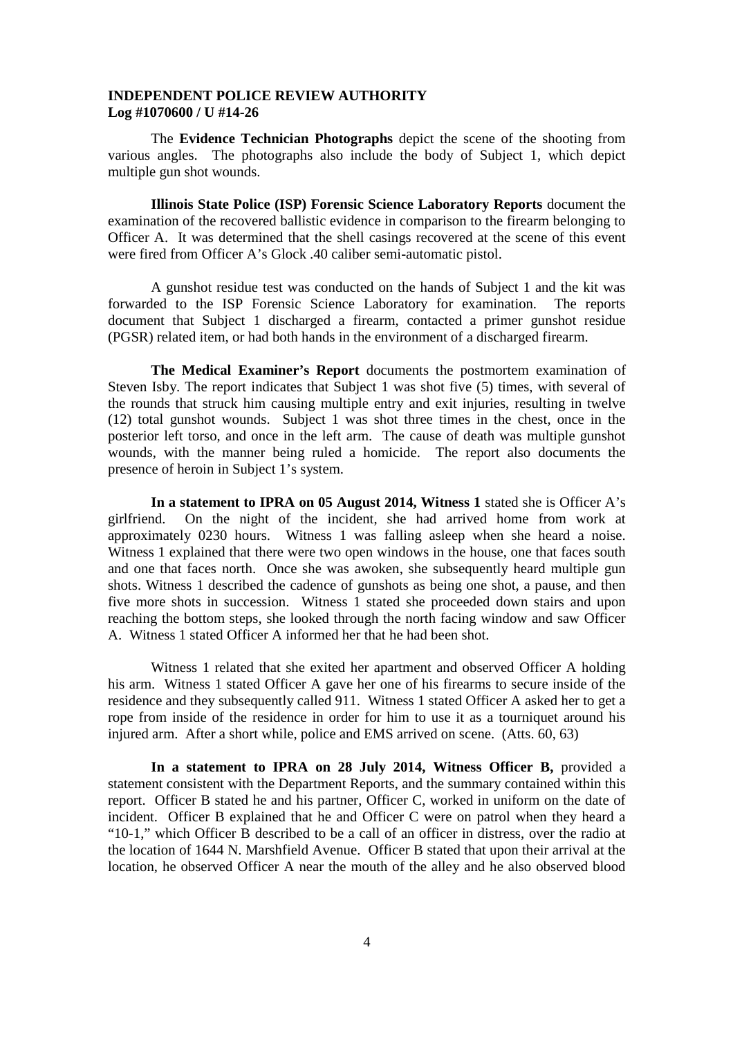The **Evidence Technician Photographs** depict the scene of the shooting from various angles. The photographs also include the body of Subject 1, which depict multiple gun shot wounds.

**Illinois State Police (ISP) Forensic Science Laboratory Reports** document the examination of the recovered ballistic evidence in comparison to the firearm belonging to Officer A. It was determined that the shell casings recovered at the scene of this event were fired from Officer A's Glock .40 caliber semi-automatic pistol.

A gunshot residue test was conducted on the hands of Subject 1 and the kit was forwarded to the ISP Forensic Science Laboratory for examination. The reports document that Subject 1 discharged a firearm, contacted a primer gunshot residue (PGSR) related item, or had both hands in the environment of a discharged firearm.

**The Medical Examiner's Report** documents the postmortem examination of Steven Isby. The report indicates that Subject 1 was shot five (5) times, with several of the rounds that struck him causing multiple entry and exit injuries, resulting in twelve (12) total gunshot wounds. Subject 1 was shot three times in the chest, once in the posterior left torso, and once in the left arm. The cause of death was multiple gunshot wounds, with the manner being ruled a homicide. The report also documents the presence of heroin in Subject 1's system.

**In a statement to IPRA on 05 August 2014, Witness 1** stated she is Officer A's girlfriend. On the night of the incident, she had arrived home from work at approximately 0230 hours. Witness 1 was falling asleep when she heard a noise. Witness 1 explained that there were two open windows in the house, one that faces south and one that faces north. Once she was awoken, she subsequently heard multiple gun shots. Witness 1 described the cadence of gunshots as being one shot, a pause, and then five more shots in succession. Witness 1 stated she proceeded down stairs and upon reaching the bottom steps, she looked through the north facing window and saw Officer A. Witness 1 stated Officer A informed her that he had been shot.

Witness 1 related that she exited her apartment and observed Officer A holding his arm. Witness 1 stated Officer A gave her one of his firearms to secure inside of the residence and they subsequently called 911. Witness 1 stated Officer A asked her to get a rope from inside of the residence in order for him to use it as a tourniquet around his injured arm. After a short while, police and EMS arrived on scene. (Atts. 60, 63)

**In a statement to IPRA on 28 July 2014, Witness Officer B,** provided a statement consistent with the Department Reports, and the summary contained within this report. Officer B stated he and his partner, Officer C, worked in uniform on the date of incident. Officer B explained that he and Officer C were on patrol when they heard a "10-1," which Officer B described to be a call of an officer in distress, over the radio at the location of 1644 N. Marshfield Avenue. Officer B stated that upon their arrival at the location, he observed Officer A near the mouth of the alley and he also observed blood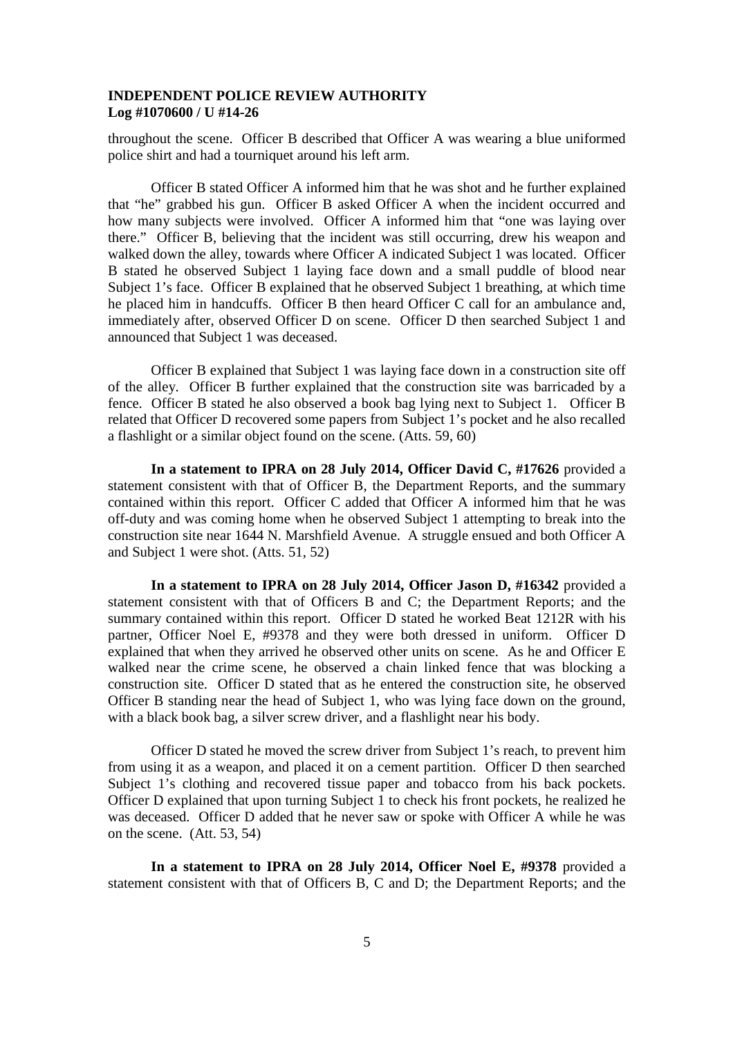throughout the scene. Officer B described that Officer A was wearing a blue uniformed police shirt and had a tourniquet around his left arm.

Officer B stated Officer A informed him that he was shot and he further explained that "he" grabbed his gun. Officer B asked Officer A when the incident occurred and how many subjects were involved. Officer A informed him that "one was laying over there." Officer B, believing that the incident was still occurring, drew his weapon and walked down the alley, towards where Officer A indicated Subject 1 was located. Officer B stated he observed Subject 1 laying face down and a small puddle of blood near Subject 1's face. Officer B explained that he observed Subject 1 breathing, at which time he placed him in handcuffs. Officer B then heard Officer C call for an ambulance and, immediately after, observed Officer D on scene. Officer D then searched Subject 1 and announced that Subject 1 was deceased.

Officer B explained that Subject 1 was laying face down in a construction site off of the alley. Officer B further explained that the construction site was barricaded by a fence. Officer B stated he also observed a book bag lying next to Subject 1. Officer B related that Officer D recovered some papers from Subject 1's pocket and he also recalled a flashlight or a similar object found on the scene. (Atts. 59, 60)

**In a statement to IPRA on 28 July 2014, Officer David C, #17626** provided a statement consistent with that of Officer B, the Department Reports, and the summary contained within this report. Officer C added that Officer A informed him that he was off-duty and was coming home when he observed Subject 1 attempting to break into the construction site near 1644 N. Marshfield Avenue. A struggle ensued and both Officer A and Subject 1 were shot. (Atts. 51, 52)

**In a statement to IPRA on 28 July 2014, Officer Jason D, #16342** provided a statement consistent with that of Officers B and C; the Department Reports; and the summary contained within this report. Officer D stated he worked Beat 1212R with his partner, Officer Noel E, #9378 and they were both dressed in uniform. Officer D explained that when they arrived he observed other units on scene. As he and Officer E walked near the crime scene, he observed a chain linked fence that was blocking a construction site. Officer D stated that as he entered the construction site, he observed Officer B standing near the head of Subject 1, who was lying face down on the ground, with a black book bag, a silver screw driver, and a flashlight near his body.

Officer D stated he moved the screw driver from Subject 1's reach, to prevent him from using it as a weapon, and placed it on a cement partition. Officer D then searched Subject 1's clothing and recovered tissue paper and tobacco from his back pockets. Officer D explained that upon turning Subject 1 to check his front pockets, he realized he was deceased. Officer D added that he never saw or spoke with Officer A while he was on the scene. (Att. 53, 54)

**In a statement to IPRA on 28 July 2014, Officer Noel E, #9378** provided a statement consistent with that of Officers B, C and D; the Department Reports; and the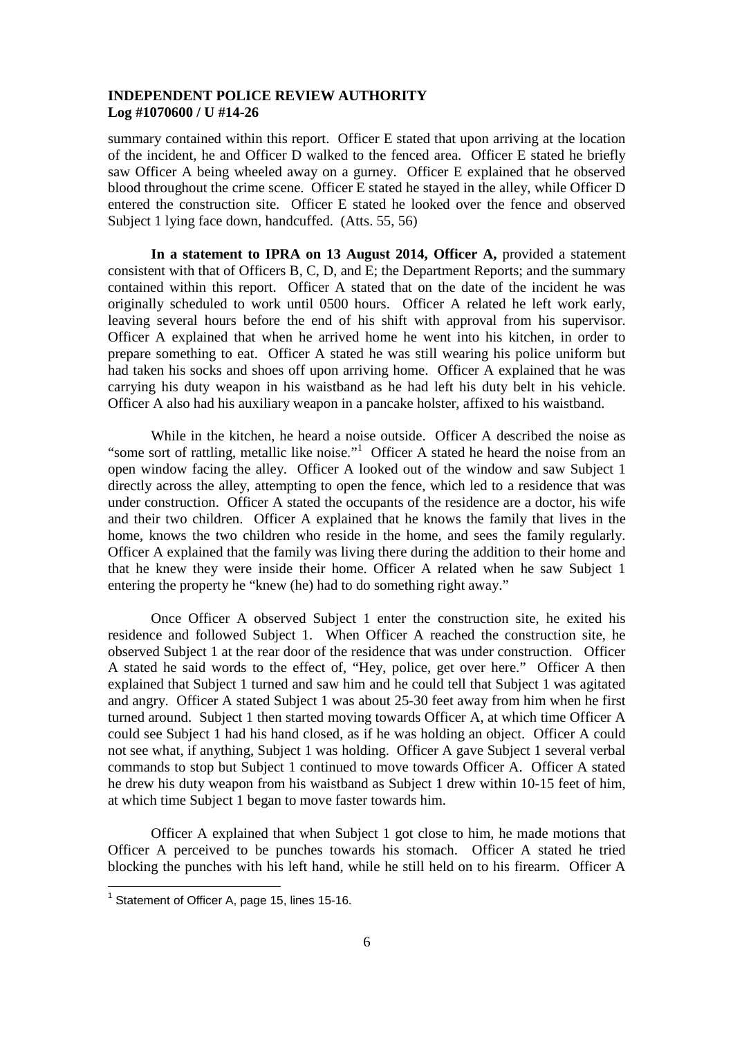summary contained within this report. Officer E stated that upon arriving at the location of the incident, he and Officer D walked to the fenced area. Officer E stated he briefly saw Officer A being wheeled away on a gurney. Officer E explained that he observed blood throughout the crime scene. Officer E stated he stayed in the alley, while Officer D entered the construction site. Officer E stated he looked over the fence and observed Subject 1 lying face down, handcuffed. (Atts. 55, 56)

**In a statement to IPRA on 13 August 2014, Officer A,** provided a statement consistent with that of Officers B, C, D, and E; the Department Reports; and the summary contained within this report. Officer A stated that on the date of the incident he was originally scheduled to work until 0500 hours. Officer A related he left work early, leaving several hours before the end of his shift with approval from his supervisor. Officer A explained that when he arrived home he went into his kitchen, in order to prepare something to eat. Officer A stated he was still wearing his police uniform but had taken his socks and shoes off upon arriving home. Officer A explained that he was carrying his duty weapon in his waistband as he had left his duty belt in his vehicle. Officer A also had his auxiliary weapon in a pancake holster, affixed to his waistband.

While in the kitchen, he heard a noise outside. Officer A described the noise as "some sort of rattling, metallic like noise."<sup>1</sup> Officer A stated he heard the noise from an open window facing the alley. Officer A looked out of the window and saw Subject 1 directly across the alley, attempting to open the fence, which led to a residence that was under construction. Officer A stated the occupants of the residence are a doctor, his wife and their two children. Officer A explained that he knows the family that lives in the home, knows the two children who reside in the home, and sees the family regularly. Officer A explained that the family was living there during the addition to their home and that he knew they were inside their home. Officer A related when he saw Subject 1 entering the property he "knew (he) had to do something right away."

Once Officer A observed Subject 1 enter the construction site, he exited his residence and followed Subject 1. When Officer A reached the construction site, he observed Subject 1 at the rear door of the residence that was under construction. Officer A stated he said words to the effect of, "Hey, police, get over here." Officer A then explained that Subject 1 turned and saw him and he could tell that Subject 1 was agitated and angry. Officer A stated Subject 1 was about 25-30 feet away from him when he first turned around. Subject 1 then started moving towards Officer A, at which time Officer A could see Subject 1 had his hand closed, as if he was holding an object. Officer A could not see what, if anything, Subject 1 was holding. Officer A gave Subject 1 several verbal commands to stop but Subject 1 continued to move towards Officer A. Officer A stated he drew his duty weapon from his waistband as Subject 1 drew within 10-15 feet of him, at which time Subject 1 began to move faster towards him.

Officer A explained that when Subject 1 got close to him, he made motions that Officer A perceived to be punches towards his stomach. Officer A stated he tried blocking the punches with his left hand, while he still held on to his firearm. Officer A

 $1$  Statement of Officer A, page 15, lines 15-16.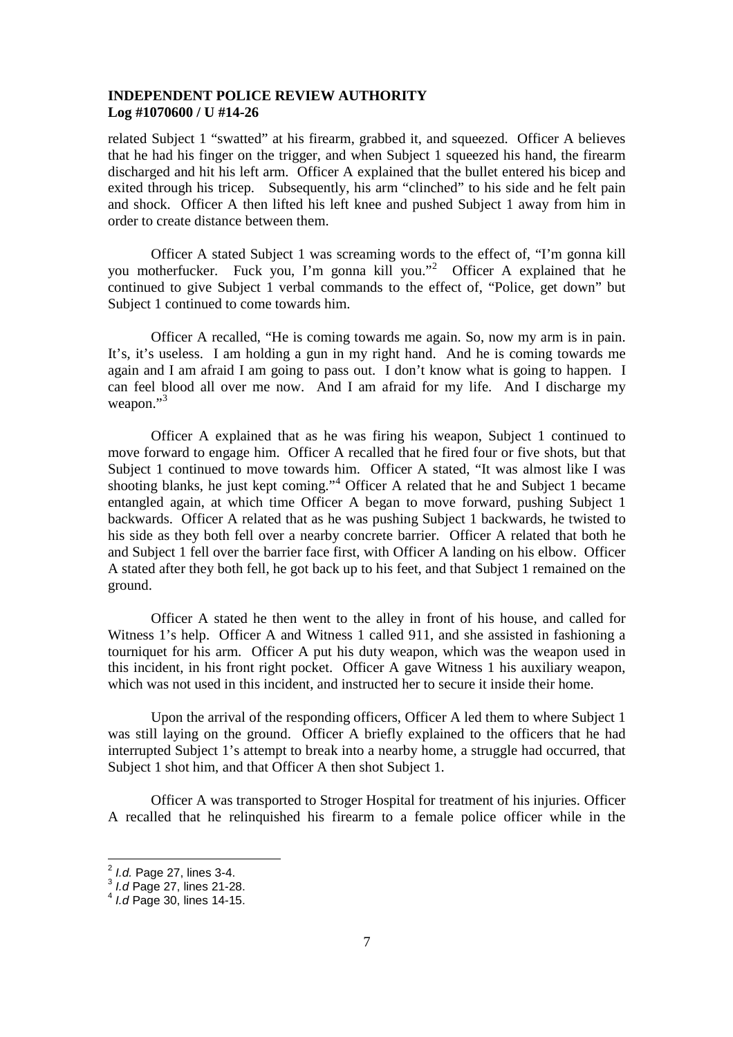related Subject 1 "swatted" at his firearm, grabbed it, and squeezed. Officer A believes that he had his finger on the trigger, and when Subject 1 squeezed his hand, the firearm discharged and hit his left arm. Officer A explained that the bullet entered his bicep and exited through his tricep. Subsequently, his arm "clinched" to his side and he felt pain and shock. Officer A then lifted his left knee and pushed Subject 1 away from him in order to create distance between them.

Officer A stated Subject 1 was screaming words to the effect of, "I'm gonna kill you motherfucker. Fuck you, I'm gonna kill you."<sup>2</sup> Officer A explained that he continued to give Subject 1 verbal commands to the effect of, "Police, get down" but Subject 1 continued to come towards him.

Officer A recalled, "He is coming towards me again. So, now my arm is in pain. It's, it's useless. I am holding a gun in my right hand. And he is coming towards me again and I am afraid I am going to pass out. I don't know what is going to happen. I can feel blood all over me now. And I am afraid for my life. And I discharge my weapon."<sup>3</sup>

Officer A explained that as he was firing his weapon, Subject 1 continued to move forward to engage him. Officer A recalled that he fired four or five shots, but that Subject 1 continued to move towards him. Officer A stated, "It was almost like I was shooting blanks, he just kept coming."<sup>4</sup> Officer A related that he and Subject 1 became entangled again, at which time Officer A began to move forward, pushing Subject 1 backwards. Officer A related that as he was pushing Subject 1 backwards, he twisted to his side as they both fell over a nearby concrete barrier. Officer A related that both he and Subject 1 fell over the barrier face first, with Officer A landing on his elbow. Officer A stated after they both fell, he got back up to his feet, and that Subject 1 remained on the ground.

Officer A stated he then went to the alley in front of his house, and called for Witness 1's help. Officer A and Witness 1 called 911, and she assisted in fashioning a tourniquet for his arm. Officer A put his duty weapon, which was the weapon used in this incident, in his front right pocket. Officer A gave Witness 1 his auxiliary weapon, which was not used in this incident, and instructed her to secure it inside their home.

Upon the arrival of the responding officers, Officer A led them to where Subject 1 was still laying on the ground. Officer A briefly explained to the officers that he had interrupted Subject 1's attempt to break into a nearby home, a struggle had occurred, that Subject 1 shot him, and that Officer A then shot Subject 1.

Officer A was transported to Stroger Hospital for treatment of his injuries. Officer A recalled that he relinquished his firearm to a female police officer while in the

<sup>2</sup> *I.d.* Page 27, lines 3-4. 3 *I.d* Page 27, lines 21-28.

<sup>4</sup> *I.d* Page 30, lines 14-15.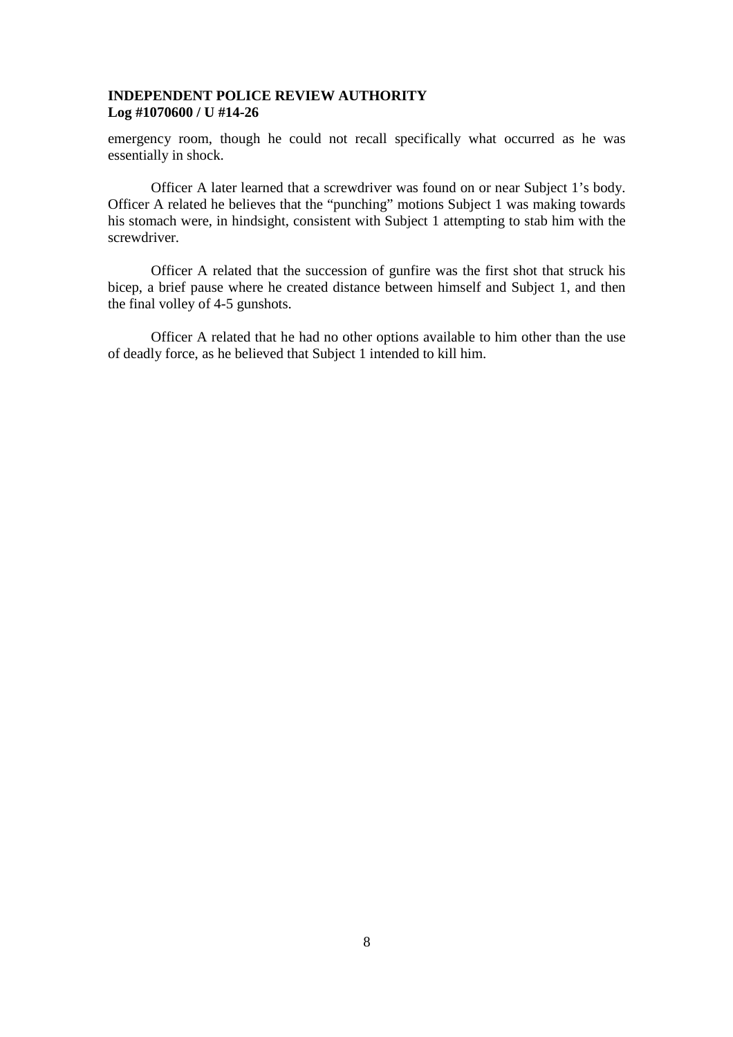emergency room, though he could not recall specifically what occurred as he was essentially in shock.

Officer A later learned that a screwdriver was found on or near Subject 1's body. Officer A related he believes that the "punching" motions Subject 1 was making towards his stomach were, in hindsight, consistent with Subject 1 attempting to stab him with the screwdriver.

Officer A related that the succession of gunfire was the first shot that struck his bicep, a brief pause where he created distance between himself and Subject 1, and then the final volley of 4-5 gunshots.

Officer A related that he had no other options available to him other than the use of deadly force, as he believed that Subject 1 intended to kill him.